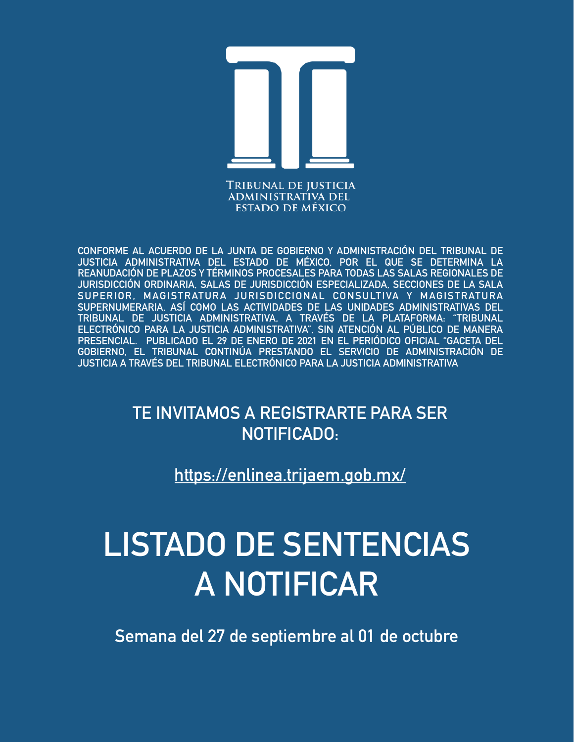

**CONFORME AL ACUERDO DE LA JUNTA DE GOBIERNO Y ADMINISTRACIÓN DEL TRIBUNAL DE JUSTICIA ADMINISTRATIVA DEL ESTADO DE MÉXICO, POR EL QUE SE DETERMINA LA REANUDACIÓN DE PLAZOS Y TÉRMINOS PROCESALES PARA TODAS LAS SALAS REGIONALES DE JURISDICCIÓN ORDINARIA, SALAS DE JURISDICCIÓN ESPECIALIZADA, SECCIONES DE LA SALA SUPERIOR, MAGISTRATURA JURISDICCIONAL CONSULTIVA Y MAGISTRATURA SUPERNUMERARIA, ASÍ COMO LAS ACTIVIDADES DE LAS UNIDADES ADMINISTRATIVAS DEL TRIBUNAL DE JUSTICIA ADMINISTRATIVA, A TRAVÉS DE LA PLATAFORMA: "TRIBUNAL ELECTRÓNICO PARA LA JUSTICIA ADMINISTRATIVA", SIN ATENCIÓN AL PÚBLICO DE MANERA PRESENCIAL. PUBLICADO EL 29 DE ENERO DE 2021 EN EL PERIÓDICO OFICIAL "GACETA DEL GOBIERNO, EL TRIBUNAL CONTINÚA PRESTANDO EL SERVICIO DE ADMINISTRACIÓN DE JUSTICIA A TRAVÉS DEL TRIBUNAL ELECTRÓNICO PARA LA JUSTICIA ADMINISTRATIVA**

> **TE INVITAMOS A REGISTRARTE PARA SER NOTIFICADO:**

> > **<https://enlinea.trijaem.gob.mx/>**

# **LISTADO DE SENTENCIAS A NOTIFICAR**

**Semana del 27 de septiembre al 01 de octubre**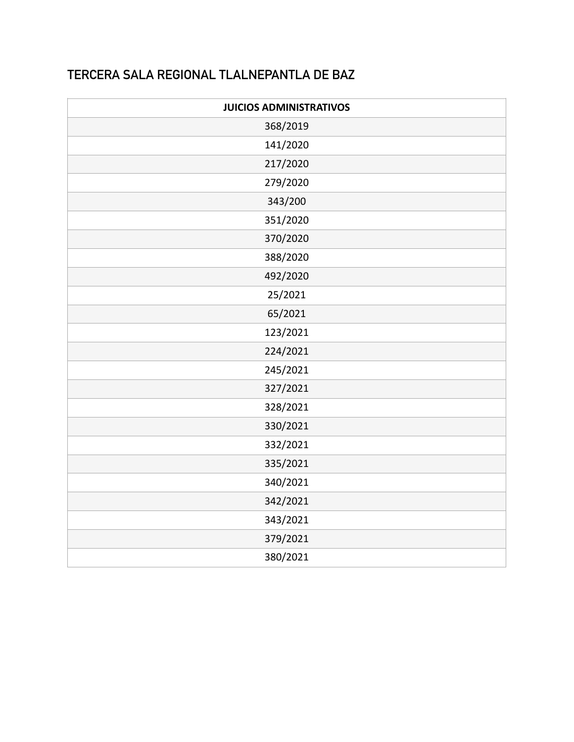### **TERCERA SALA REGIONAL TLALNEPANTLA DE BAZ**

| <b>JUICIOS ADMINISTRATIVOS</b> |  |  |
|--------------------------------|--|--|
| 368/2019                       |  |  |
| 141/2020                       |  |  |
| 217/2020                       |  |  |
| 279/2020                       |  |  |
| 343/200                        |  |  |
| 351/2020                       |  |  |
| 370/2020                       |  |  |
| 388/2020                       |  |  |
| 492/2020                       |  |  |
| 25/2021                        |  |  |
| 65/2021                        |  |  |
| 123/2021                       |  |  |
| 224/2021                       |  |  |
| 245/2021                       |  |  |
| 327/2021                       |  |  |
| 328/2021                       |  |  |
| 330/2021                       |  |  |
| 332/2021                       |  |  |
| 335/2021                       |  |  |
| 340/2021                       |  |  |
| 342/2021                       |  |  |
| 343/2021                       |  |  |
| 379/2021                       |  |  |
| 380/2021                       |  |  |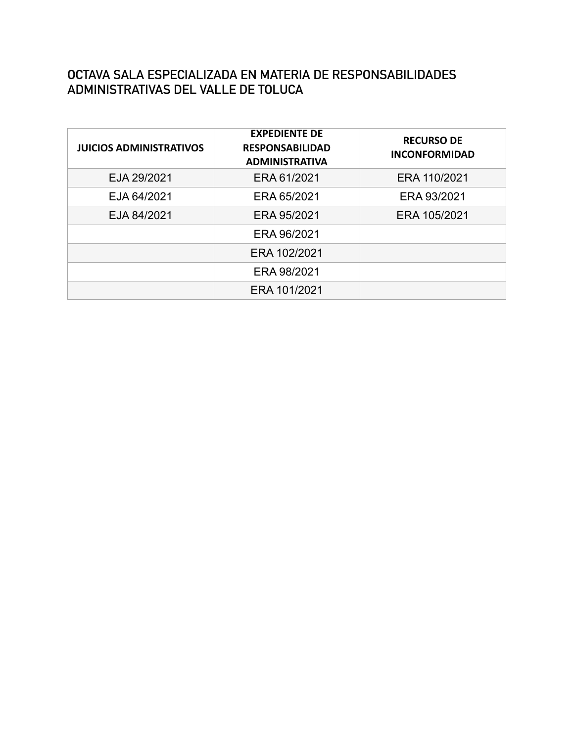#### **OCTAVA SALA ESPECIALIZADA EN MATERIA DE RESPONSABILIDADES ADMINISTRATIVAS DEL VALLE DE TOLUCA**

| <b>JUICIOS ADMINISTRATIVOS</b> | <b>EXPEDIENTE DE</b><br><b>RESPONSABILIDAD</b><br><b>ADMINISTRATIVA</b> | <b>RECURSO DE</b><br><b>INCONFORMIDAD</b> |
|--------------------------------|-------------------------------------------------------------------------|-------------------------------------------|
| EJA 29/2021                    | ERA 61/2021                                                             | ERA 110/2021                              |
| EJA 64/2021                    | ERA 65/2021                                                             | ERA 93/2021                               |
| EJA 84/2021                    | ERA 95/2021                                                             | ERA 105/2021                              |
|                                | ERA 96/2021                                                             |                                           |
|                                | ERA 102/2021                                                            |                                           |
|                                | ERA 98/2021                                                             |                                           |
|                                | ERA 101/2021                                                            |                                           |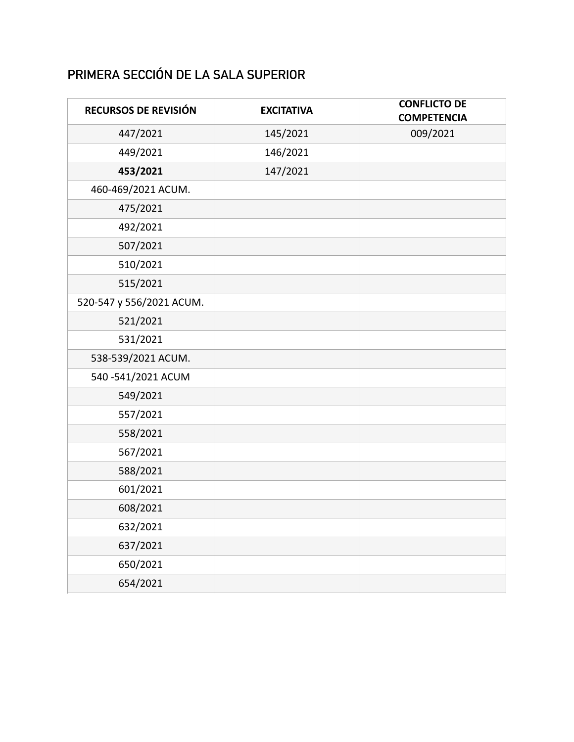## **PRIMERA SECCIÓN DE LA SALA SUPERIOR**

| RECURSOS DE REVISIÓN     | <b>EXCITATIVA</b> | <b>CONFLICTO DE</b><br><b>COMPETENCIA</b> |
|--------------------------|-------------------|-------------------------------------------|
| 447/2021                 | 145/2021          | 009/2021                                  |
| 449/2021                 | 146/2021          |                                           |
| 453/2021                 | 147/2021          |                                           |
| 460-469/2021 ACUM.       |                   |                                           |
| 475/2021                 |                   |                                           |
| 492/2021                 |                   |                                           |
| 507/2021                 |                   |                                           |
| 510/2021                 |                   |                                           |
| 515/2021                 |                   |                                           |
| 520-547 y 556/2021 ACUM. |                   |                                           |
| 521/2021                 |                   |                                           |
| 531/2021                 |                   |                                           |
| 538-539/2021 ACUM.       |                   |                                           |
| 540-541/2021 ACUM        |                   |                                           |
| 549/2021                 |                   |                                           |
| 557/2021                 |                   |                                           |
| 558/2021                 |                   |                                           |
| 567/2021                 |                   |                                           |
| 588/2021                 |                   |                                           |
| 601/2021                 |                   |                                           |
| 608/2021                 |                   |                                           |
| 632/2021                 |                   |                                           |
| 637/2021                 |                   |                                           |
| 650/2021                 |                   |                                           |
| 654/2021                 |                   |                                           |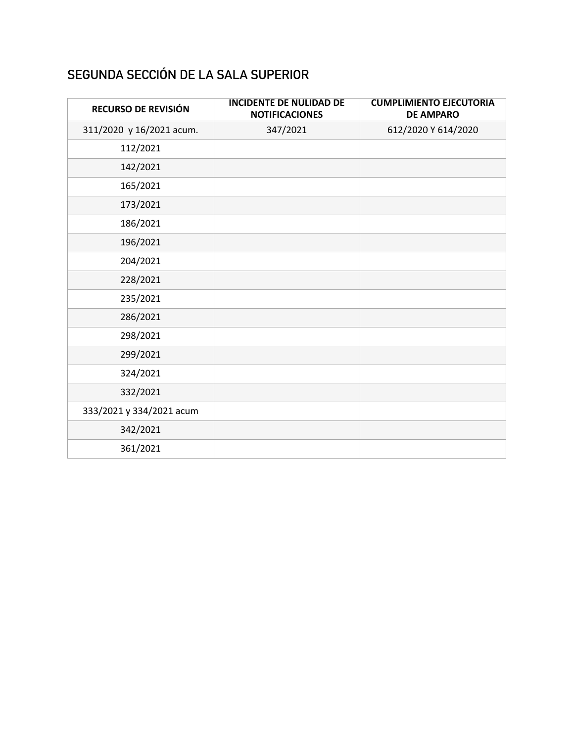## **SEGUNDA SECCIÓN DE LA SALA SUPERIOR**

| RECURSO DE REVISIÓN      | <b>INCIDENTE DE NULIDAD DE</b><br><b>NOTIFICACIONES</b> | <b>CUMPLIMIENTO EJECUTORIA</b><br><b>DE AMPARO</b> |
|--------------------------|---------------------------------------------------------|----------------------------------------------------|
| 311/2020 y 16/2021 acum. | 347/2021                                                | 612/2020 Y 614/2020                                |
| 112/2021                 |                                                         |                                                    |
| 142/2021                 |                                                         |                                                    |
| 165/2021                 |                                                         |                                                    |
| 173/2021                 |                                                         |                                                    |
| 186/2021                 |                                                         |                                                    |
| 196/2021                 |                                                         |                                                    |
| 204/2021                 |                                                         |                                                    |
| 228/2021                 |                                                         |                                                    |
| 235/2021                 |                                                         |                                                    |
| 286/2021                 |                                                         |                                                    |
| 298/2021                 |                                                         |                                                    |
| 299/2021                 |                                                         |                                                    |
| 324/2021                 |                                                         |                                                    |
| 332/2021                 |                                                         |                                                    |
| 333/2021 y 334/2021 acum |                                                         |                                                    |
| 342/2021                 |                                                         |                                                    |
| 361/2021                 |                                                         |                                                    |